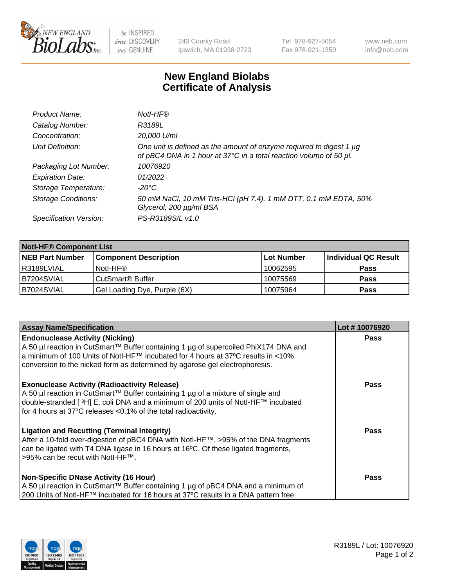

 $be$  INSPIRED drive DISCOVERY stay GENUINE

240 County Road Ipswich, MA 01938-2723 Tel 978-927-5054 Fax 978-921-1350 www.neb.com info@neb.com

## **New England Biolabs Certificate of Analysis**

| Product Name:              | Notl-HF®                                                                                                                                  |
|----------------------------|-------------------------------------------------------------------------------------------------------------------------------------------|
| Catalog Number:            | R3189L                                                                                                                                    |
| Concentration:             | 20,000 U/ml                                                                                                                               |
| Unit Definition:           | One unit is defined as the amount of enzyme required to digest 1 µg<br>of pBC4 DNA in 1 hour at 37°C in a total reaction volume of 50 µl. |
| Packaging Lot Number:      | 10076920                                                                                                                                  |
| <b>Expiration Date:</b>    | 01/2022                                                                                                                                   |
| Storage Temperature:       | $-20^{\circ}$ C                                                                                                                           |
| <b>Storage Conditions:</b> | 50 mM NaCl, 10 mM Tris-HCl (pH 7.4), 1 mM DTT, 0.1 mM EDTA, 50%<br>Glycerol, 200 µg/ml BSA                                                |
| Specification Version:     | PS-R3189S/L v1.0                                                                                                                          |

| <b>Notl-HF® Component List</b> |                              |            |                      |  |  |
|--------------------------------|------------------------------|------------|----------------------|--|--|
| <b>NEB Part Number</b>         | <b>Component Description</b> | Lot Number | Individual QC Result |  |  |
| l R3189LVIAL                   | Notl-HF®                     | 10062595   | <b>Pass</b>          |  |  |
| IB7204SVIAL                    | CutSmart <sup>®</sup> Buffer | 10075569   | <b>Pass</b>          |  |  |
| B7024SVIAL                     | Gel Loading Dye, Purple (6X) | 10075964   | <b>Pass</b>          |  |  |

| <b>Assay Name/Specification</b>                                                                                                                                                                                                                                                                             | Lot #10076920 |
|-------------------------------------------------------------------------------------------------------------------------------------------------------------------------------------------------------------------------------------------------------------------------------------------------------------|---------------|
| <b>Endonuclease Activity (Nicking)</b><br>A 50 µl reaction in CutSmart™ Buffer containing 1 µg of supercoiled PhiX174 DNA and                                                                                                                                                                               | <b>Pass</b>   |
| a minimum of 100 Units of Notl-HF™ incubated for 4 hours at 37°C results in <10%<br>conversion to the nicked form as determined by agarose gel electrophoresis.                                                                                                                                             |               |
| <b>Exonuclease Activity (Radioactivity Release)</b><br>A 50 µl reaction in CutSmart™ Buffer containing 1 µg of a mixture of single and<br>double-stranded [ <sup>3</sup> H] E. coli DNA and a minimum of 200 units of Notl-HF™ incubated<br>for 4 hours at 37°C releases < 0.1% of the total radioactivity. | Pass          |
| <b>Ligation and Recutting (Terminal Integrity)</b><br>After a 10-fold over-digestion of pBC4 DNA with Notl-HF™, >95% of the DNA fragments<br>can be ligated with T4 DNA ligase in 16 hours at 16°C. Of these ligated fragments,<br>>95% can be recut with Notl-HF™.                                         | <b>Pass</b>   |
| <b>Non-Specific DNase Activity (16 Hour)</b><br>A 50 µl reaction in CutSmart™ Buffer containing 1 µg of pBC4 DNA and a minimum of<br>200 Units of Notl-HF™ incubated for 16 hours at 37°C results in a DNA pattern free                                                                                     | <b>Pass</b>   |